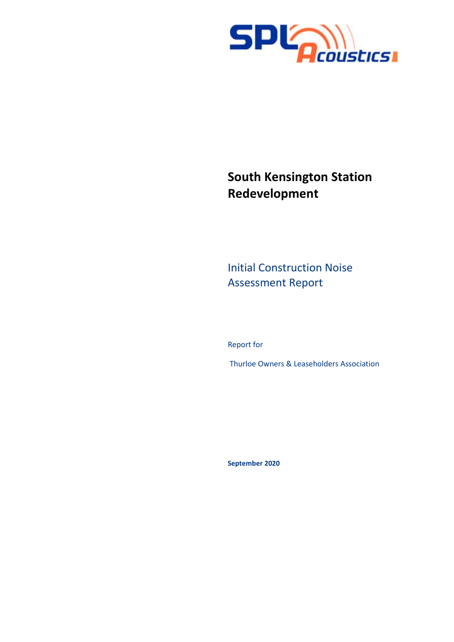

# **South Kensington Station Redevelopment**

Initial Construction Noise Assessment Report

Report for

Thurloe Owners & Leaseholders Association

**September 2020**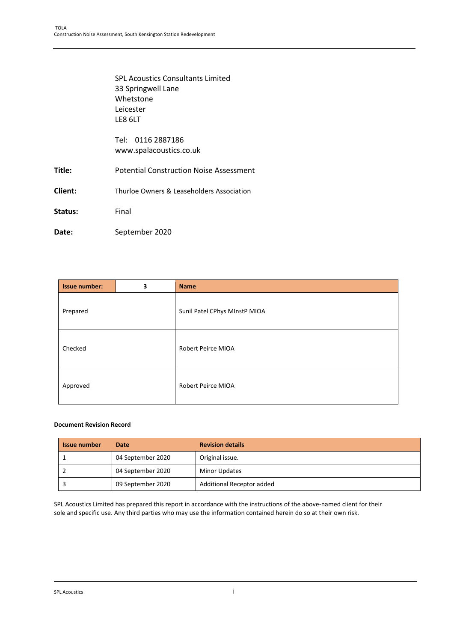|         | <b>SPL Acoustics Consultants Limited</b><br>33 Springwell Lane<br>Whetstone<br>Leicester<br>LE8 6LT |
|---------|-----------------------------------------------------------------------------------------------------|
|         | Tel: 0116 2887186<br>www.spalacoustics.co.uk                                                        |
| Title:  | <b>Potential Construction Noise Assessment</b>                                                      |
| Client: | Thurloe Owners & Leaseholders Association                                                           |
| Status: | Final                                                                                               |
| Date:   | September 2020                                                                                      |

| <b>Issue number:</b> | 3 | <b>Name</b>                   |
|----------------------|---|-------------------------------|
| Prepared             |   | Sunil Patel CPhys MInstP MIOA |
| Checked              |   | <b>Robert Peirce MIOA</b>     |
| Approved             |   | <b>Robert Peirce MIOA</b>     |

#### **Document Revision Record**

| <b>Issue number</b> | Date              | <b>Revision details</b>   |
|---------------------|-------------------|---------------------------|
|                     | 04 September 2020 | Original issue.           |
|                     | 04 September 2020 | <b>Minor Updates</b>      |
|                     | 09 September 2020 | Additional Receptor added |

SPL Acoustics Limited has prepared this report in accordance with the instructions of the above-named client for their sole and specific use. Any third parties who may use the information contained herein do so at their own risk.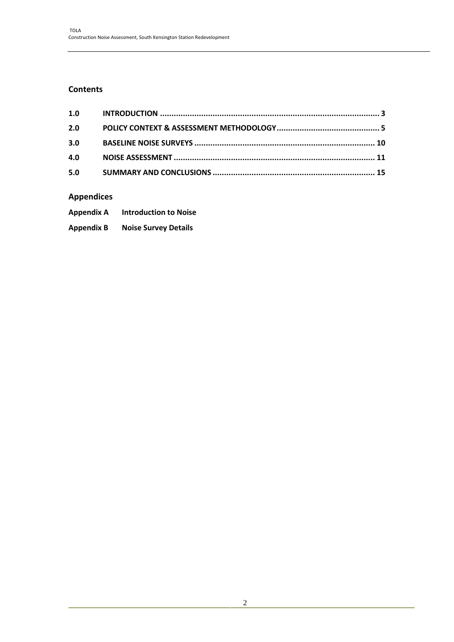## **Contents**

| 1.0 |  |
|-----|--|
| 2.0 |  |
| 3.0 |  |
| 4.0 |  |
| 5.0 |  |

# **Appendices**

| <b>Appendix A</b> | <b>Introduction to Noise</b> |
|-------------------|------------------------------|
| <b>Appendix B</b> | <b>Noise Survey Details</b>  |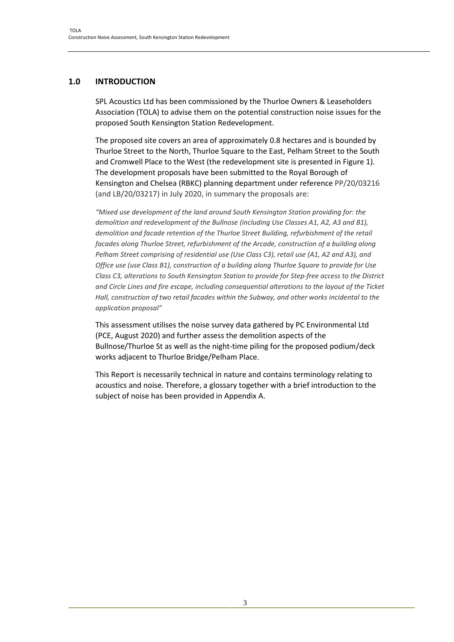## **1.0 INTRODUCTION**

SPL Acoustics Ltd has been commissioned by the Thurloe Owners & Leaseholders Association (TOLA) to advise them on the potential construction noise issues for the proposed South Kensington Station Redevelopment.

The proposed site covers an area of approximately 0.8 hectares and is bounded by Thurloe Street to the North, Thurloe Square to the East, Pelham Street to the South and Cromwell Place to the West (the redevelopment site is presented in Figure 1). The development proposals have been submitted to the Royal Borough of Kensington and Chelsea (RBKC) planning department under reference PP/20/03216 (and LB/20/03217) in July 2020, in summary the proposals are:

*"Mixed use development of the land around South Kensington Station providing for: the demolition and redevelopment of the Bullnose (including Use Classes A1, A2, A3 and B1), demolition and facade retention of the Thurloe Street Building, refurbishment of the retail facades along Thurloe Street, refurbishment of the Arcade, construction of a building along Pelham Street comprising of residential use (Use Class C3), retail use (A1, A2 and A3), and Office use (use Class B1), construction of a building along Thurloe Square to provide for Use Class C3, alterations to South Kensington Station to provide for Step-free access to the District and Circle Lines and fire escape, including consequential alterations to the layout of the Ticket Hall, construction of two retail facades within the Subway, and other works incidental to the application proposal"*

This assessment utilises the noise survey data gathered by PC Environmental Ltd (PCE, August 2020) and further assess the demolition aspects of the Bullnose/Thurloe St as well as the night-time piling for the proposed podium/deck works adjacent to Thurloe Bridge/Pelham Place.

This Report is necessarily technical in nature and contains terminology relating to acoustics and noise. Therefore, a glossary together with a brief introduction to the subject of noise has been provided in Appendix A.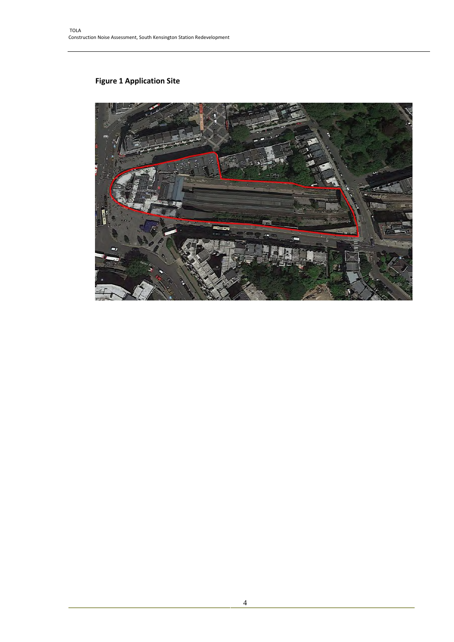# **Figure 1 Application Site**

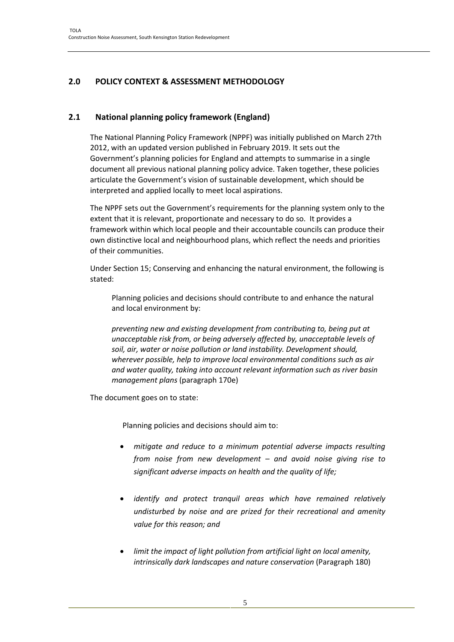# **2.0 POLICY CONTEXT & ASSESSMENT METHODOLOGY**

## **2.1 National planning policy framework (England)**

The National Planning Policy Framework (NPPF) was initially published on March 27th 2012, with an updated version published in February 2019. It sets out the Government's planning policies for England and attempts to summarise in a single document all previous national planning policy advice. Taken together, these policies articulate the Government's vision of sustainable development, which should be interpreted and applied locally to meet local aspirations.

The NPPF sets out the Government's requirements for the planning system only to the extent that it is relevant, proportionate and necessary to do so. It provides a framework within which local people and their accountable councils can produce their own distinctive local and neighbourhood plans, which reflect the needs and priorities of their communities.

Under Section 15; Conserving and enhancing the natural environment, the following is stated:

Planning policies and decisions should contribute to and enhance the natural and local environment by:

*preventing new and existing development from contributing to, being put at unacceptable risk from, or being adversely affected by, unacceptable levels of soil, air, water or noise pollution or land instability. Development should, wherever possible, help to improve local environmental conditions such as air and water quality, taking into account relevant information such as river basin management plans* (paragraph 170e)

The document goes on to state:

Planning policies and decisions should aim to:

- *mitigate and reduce to a minimum potential adverse impacts resulting from noise from new development – and avoid noise giving rise to significant adverse impacts on health and the quality of life;*
- *identify and protect tranquil areas which have remained relatively undisturbed by noise and are prized for their recreational and amenity value for this reason; and*
- *limit the impact of light pollution from artificial light on local amenity, intrinsically dark landscapes and nature conservation* (Paragraph 180)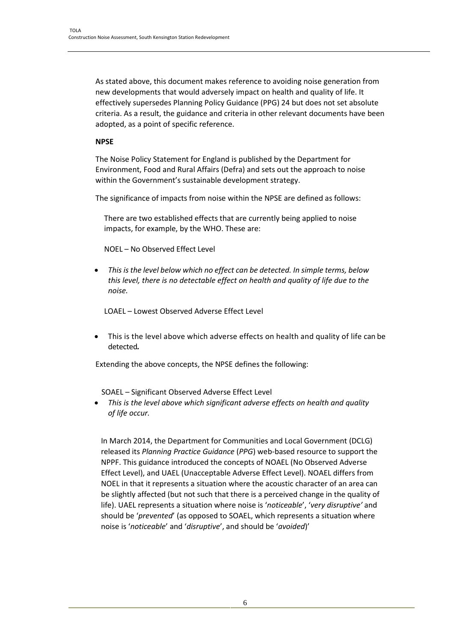As stated above, this document makes reference to avoiding noise generation from new developments that would adversely impact on health and quality of life. It effectively supersedes Planning Policy Guidance (PPG) 24 but does not set absolute criteria. As a result, the guidance and criteria in other relevant documents have been adopted, as a point of specific reference.

#### **NPSE**

The Noise Policy Statement for England is published by the Department for Environment, Food and Rural Affairs (Defra) and sets out the approach to noise within the Government's sustainable development strategy.

The significance of impacts from noise within the NPSE are defined as follows:

There are two established effects that are currently being applied to noise impacts, for example, by the WHO. These are:

NOEL – No Observed Effect Level

 *This is the level below which no effect can be detected. In simple terms, below this level, there is no detectable effect on health and quality of life due to the noise.*

LOAEL – Lowest Observed Adverse Effect Level

 This is the level above which adverse effects on health and quality of life can be detected*.*

Extending the above concepts, the NPSE defines the following:

SOAEL – Significant Observed Adverse Effect Level

 *This is the level above which significant adverse effects on health and quality of life occur.*

In March 2014, the Department for Communities and Local Government (DCLG) released its *Planning Practice Guidance* (*PPG*) web-based resource to support the NPPF. This guidance introduced the concepts of NOAEL (No Observed Adverse Effect Level), and UAEL (Unacceptable Adverse Effect Level). NOAEL differs from NOEL in that it represents a situation where the acoustic character of an area can be slightly affected (but not such that there is a perceived change in the quality of life). UAEL represents a situation where noise is '*noticeable*', '*very disruptive'* and should be '*prevented*' (as opposed to SOAEL, which represents a situation where noise is '*noticeable*' and '*disruptive*', and should be '*avoided*)'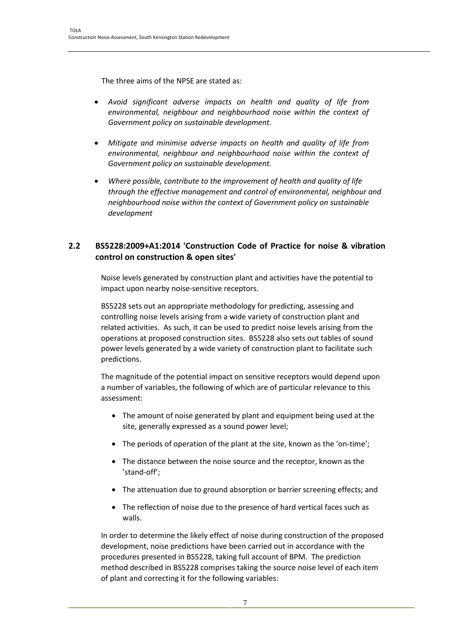The three aims of the NPSE are stated as:

- *Avoid significant adverse impacts on health and quality of life from environmental, neighbour and neighbourhood noise within the context of Government policy on sustainable development.*
- *Mitigate and minimise adverse impacts on health and quality of life from environmental, neighbour and neighbourhood noise within the context of Government policy on sustainable development.*
- *Where possible, contribute to the improvement of health and quality of life through the effective management and control of environmental, neighbour and neighbourhood noise within the context of Government policy on sustainable development*

## **2.2 BS5228:2009+A1:2014 'Construction Code of Practice for noise & vibration control on construction & open sites'**

Noise levels generated by construction plant and activities have the potential to impact upon nearby noise-sensitive receptors.

BS5228 sets out an appropriate methodology for predicting, assessing and controlling noise levels arising from a wide variety of construction plant and related activities. As such, it can be used to predict noise levels arising from the operations at proposed construction sites. BS5228 also sets out tables of sound power levels generated by a wide variety of construction plant to facilitate such predictions.

The magnitude of the potential impact on sensitive receptors would depend upon a number of variables, the following of which are of particular relevance to this assessment:

- The amount of noise generated by plant and equipment being used at the site, generally expressed as a sound power level;
- The periods of operation of the plant at the site, known as the 'on-time';
- The distance between the noise source and the receptor, known as the 'stand-off';
- The attenuation due to ground absorption or barrier screening effects; and
- The reflection of noise due to the presence of hard vertical faces such as walls.

In order to determine the likely effect of noise during construction of the proposed development, noise predictions have been carried out in accordance with the procedures presented in BS5228, taking full account of BPM. The prediction method described in BS5228 comprises taking the source noise level of each item of plant and correcting it for the following variables: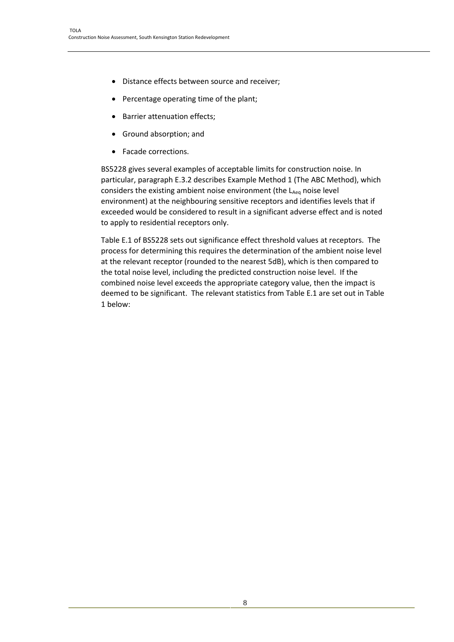- Distance effects between source and receiver:
- Percentage operating time of the plant;
- Barrier attenuation effects;
- Ground absorption; and
- Facade corrections.

BS5228 gives several examples of acceptable limits for construction noise. In particular, paragraph E.3.2 describes Example Method 1 (The ABC Method), which considers the existing ambient noise environment (the LAeq noise level environment) at the neighbouring sensitive receptors and identifies levels that if exceeded would be considered to result in a significant adverse effect and is noted to apply to residential receptors only.

Table E.1 of BS5228 sets out significance effect threshold values at receptors. The process for determining this requires the determination of the ambient noise level at the relevant receptor (rounded to the nearest 5dB), which is then compared to the total noise level, including the predicted construction noise level. If the combined noise level exceeds the appropriate category value, then the impact is deemed to be significant. The relevant statistics from Table E.1 are set out in Table 1 below: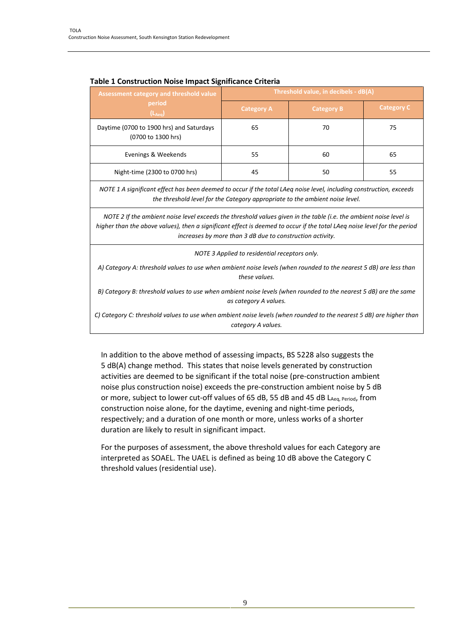| <b>Assessment category and threshold value</b>                 | Threshold value, in decibels - dB(A) |                   |                   |  |
|----------------------------------------------------------------|--------------------------------------|-------------------|-------------------|--|
| period<br>$(L_{Aeq})$                                          | <b>Category A</b>                    | <b>Category B</b> | <b>Category C</b> |  |
| Daytime (0700 to 1900 hrs) and Saturdays<br>(0700 to 1300 hrs) | 65                                   | 70                | 75                |  |
| Evenings & Weekends                                            | 55                                   | 60                | 65                |  |
| Night-time (2300 to 0700 hrs)                                  | 45                                   | 50                | 55                |  |

#### **Table 1 Construction Noise Impact Significance Criteria**

*NOTE 1 A significant effect has been deemed to occur if the total LAeq noise level, including construction, exceeds the threshold level for the Category appropriate to the ambient noise level.*

*NOTE 2 If the ambient noise level exceeds the threshold values given in the table (i.e. the ambient noise level is higher than the above values), then a significant effect is deemed to occur if the total LAeq noise level for the period increases by more than 3 dB due to construction activity.*

*NOTE 3 Applied to residential receptors only.*

*A) Category A: threshold values to use when ambient noise levels (when rounded to the nearest 5 dB) are less than these values.*

*B) Category B: threshold values to use when ambient noise levels (when rounded to the nearest 5 dB) are the same as category A values.*

*C) Category C: threshold values to use when ambient noise levels (when rounded to the nearest 5 dB) are higher than category A values.*

In addition to the above method of assessing impacts, BS 5228 also suggests the 5 dB(A) change method. This states that noise levels generated by construction activities are deemed to be significant if the total noise (pre-construction ambient noise plus construction noise) exceeds the pre-construction ambient noise by 5 dB or more, subject to lower cut-off values of 65 dB, 55 dB and 45 dB LAeq, Period, from construction noise alone, for the daytime, evening and night-time periods, respectively; and a duration of one month or more, unless works of a shorter duration are likely to result in significant impact.

For the purposes of assessment, the above threshold values for each Category are interpreted as SOAEL. The UAEL is defined as being 10 dB above the Category C threshold values (residential use).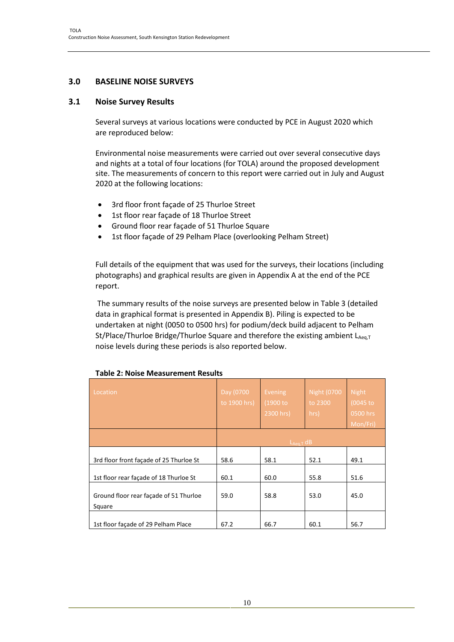## **3.0 BASELINE NOISE SURVEYS**

#### **3.1 Noise Survey Results**

Several surveys at various locations were conducted by PCE in August 2020 which are reproduced below:

Environmental noise measurements were carried out over several consecutive days and nights at a total of four locations (for TOLA) around the proposed development site. The measurements of concern to this report were carried out in July and August 2020 at the following locations:

- 3rd floor front facade of 25 Thurloe Street
- 1st floor rear façade of 18 Thurloe Street
- Ground floor rear façade of 51 Thurloe Square
- 1st floor façade of 29 Pelham Place (overlooking Pelham Street)

Full details of the equipment that was used for the surveys, their locations (including photographs) and graphical results are given in Appendix A at the end of the PCE report.

The summary results of the noise surveys are presented below in Table 3 (detailed data in graphical format is presented in Appendix B). Piling is expected to be undertaken at night (0050 to 0500 hrs) for podium/deck build adjacent to Pelham St/Place/Thurloe Bridge/Thurloe Square and therefore the existing ambient  $L_{Aeq,T}$ noise levels during these periods is also reported below.

| Location                                         | Day (0700<br>to 1900 hrs) | <b>Evening</b><br>(1900 to<br>2300 hrs) | <b>Night (0700</b><br>to 2300<br>hrs) | <b>Night</b><br>(0045 to<br>0500 hrs<br>Mon/Fri) |
|--------------------------------------------------|---------------------------|-----------------------------------------|---------------------------------------|--------------------------------------------------|
|                                                  |                           | $L_{Aea,T}$ dB                          |                                       |                                                  |
| 3rd floor front façade of 25 Thurloe St          | 58.6                      | 58.1                                    | 52.1                                  | 49.1                                             |
| 1st floor rear facade of 18 Thurloe St           | 60.1                      | 60.0                                    | 55.8                                  | 51.6                                             |
| Ground floor rear façade of 51 Thurloe<br>Square | 59.0                      | 58.8                                    | 53.0                                  | 45.0                                             |
| 1st floor facade of 29 Pelham Place              | 67.2                      | 66.7                                    | 60.1                                  | 56.7                                             |

### **Table 2: Noise Measurement Results**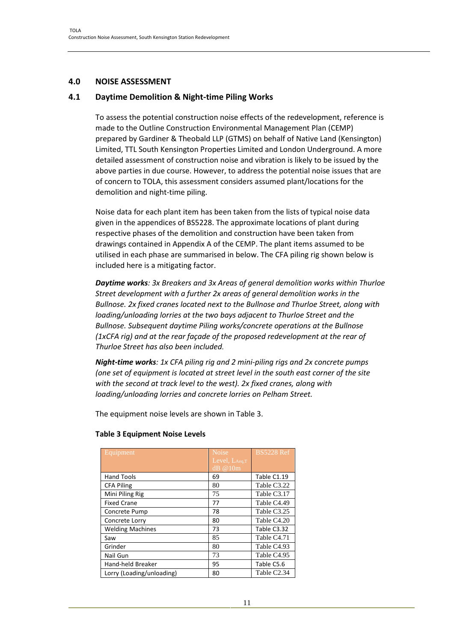## **4.0 NOISE ASSESSMENT**

#### **4.1 Daytime Demolition & Night-time Piling Works**

To assess the potential construction noise effects of the redevelopment, reference is made to the Outline Construction Environmental Management Plan (CEMP) prepared by Gardiner & Theobald LLP (GTMS) on behalf of Native Land (Kensington) Limited, TTL South Kensington Properties Limited and London Underground. A more detailed assessment of construction noise and vibration is likely to be issued by the above parties in due course. However, to address the potential noise issues that are of concern to TOLA, this assessment considers assumed plant/locations for the demolition and night-time piling.

Noise data for each plant item has been taken from the lists of typical noise data given in the appendices of BS5228. The approximate locations of plant during respective phases of the demolition and construction have been taken from drawings contained in Appendix A of the CEMP. The plant items assumed to be utilised in each phase are summarised in below. The CFA piling rig shown below is included here is a mitigating factor.

*Daytime works: 3x Breakers and 3x Areas of general demolition works within Thurloe Street development with a further 2x areas of general demolition works in the Bullnose. 2x fixed cranes located next to the Bullnose and Thurloe Street, along with loading/unloading lorries at the two bays adjacent to Thurloe Street and the Bullnose. Subsequent daytime Piling works/concrete operations at the Bullnose (1xCFA rig) and at the rear façade of the proposed redevelopment at the rear of Thurloe Street has also been included.*

*Night-time works: 1x CFA piling rig and 2 mini-piling rigs and 2x concrete pumps (one set of equipment is located at street level in the south east corner of the site with the second at track level to the west). 2x fixed cranes, along with loading/unloading lorries and concrete lorries on Pelham Street.*

The equipment noise levels are shown in Table 3.

| Equipment                 | <b>Noise</b><br>Level, LAeg.T<br>dB @10m | <b>BS5228 Ref</b>       |
|---------------------------|------------------------------------------|-------------------------|
| <b>Hand Tools</b>         | 69                                       | Table C1.19             |
| <b>CFA Piling</b>         | 80                                       | Table C3.22             |
| Mini Piling Rig           | 75                                       | Table C3.17             |
| <b>Fixed Crane</b>        | 77                                       | Table C4.49             |
| Concrete Pump             | 78                                       | Table C3.25             |
| Concrete Lorry            | 80                                       | Table C4.20             |
| <b>Welding Machines</b>   | 73                                       | Table C3.32             |
| Saw                       | 85                                       | Table C4.71             |
| Grinder                   | 80                                       | Table C <sub>4.93</sub> |
| Nail Gun                  | 73                                       | Table C <sub>4.95</sub> |
| Hand-held Breaker         | 95                                       | Table C5.6              |
| Lorry (Loading/unloading) | 80                                       | Table C <sub>2.34</sub> |

#### **Table 3 Equipment Noise Levels**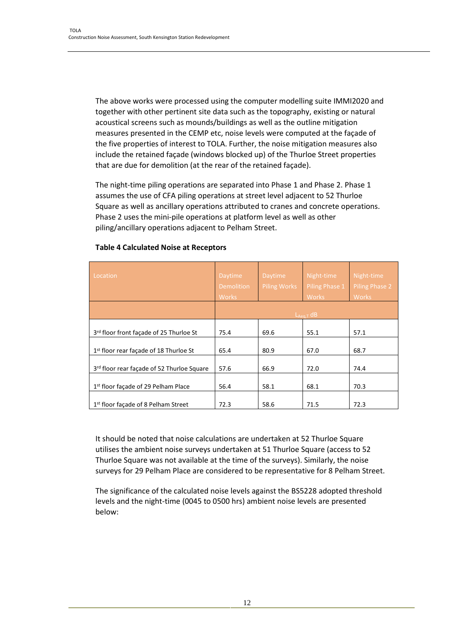The above works were processed using the computer modelling suite IMMI2020 and together with other pertinent site data such as the topography, existing or natural acoustical screens such as mounds/buildings as well as the outline mitigation measures presented in the CEMP etc, noise levels were computed at the façade of the five properties of interest to TOLA. Further, the noise mitigation measures also include the retained façade (windows blocked up) of the Thurloe Street properties that are due for demolition (at the rear of the retained façade).

The night-time piling operations are separated into Phase 1 and Phase 2. Phase 1 assumes the use of CFA piling operations at street level adjacent to 52 Thurloe Square as well as ancillary operations attributed to cranes and concrete operations. Phase 2 uses the mini-pile operations at platform level as well as other piling/ancillary operations adjacent to Pelham Street.

| Location                                           | <b>Daytime</b><br><b>Demolition</b><br><b>Works</b> | <b>Daytime</b><br><b>Piling Works</b> | Night-time<br>Piling Phase 1<br><b>Works</b> | Night-time<br><b>Piling Phase 2</b><br><b>Works</b> |
|----------------------------------------------------|-----------------------------------------------------|---------------------------------------|----------------------------------------------|-----------------------------------------------------|
|                                                    |                                                     |                                       | $L_{Aea.T}$ dB                               |                                                     |
| 3rd floor front facade of 25 Thurloe St            | 75.4                                                | 69.6                                  | 55.1                                         | 57.1                                                |
| 1 <sup>st</sup> floor rear facade of 18 Thurloe St | 65.4                                                | 80.9                                  | 67.0                                         | 68.7                                                |
| 3rd floor rear façade of 52 Thurloe Square         | 57.6                                                | 66.9                                  | 72.0                                         | 74.4                                                |
| 1 <sup>st</sup> floor facade of 29 Pelham Place    | 56.4                                                | 58.1                                  | 68.1                                         | 70.3                                                |
| 1 <sup>st</sup> floor facade of 8 Pelham Street    | 72.3                                                | 58.6                                  | 71.5                                         | 72.3                                                |

#### **Table 4 Calculated Noise at Receptors**

It should be noted that noise calculations are undertaken at 52 Thurloe Square utilises the ambient noise surveys undertaken at 51 Thurloe Square (access to 52 Thurloe Square was not available at the time of the surveys). Similarly, the noise surveys for 29 Pelham Place are considered to be representative for 8 Pelham Street.

The significance of the calculated noise levels against the BS5228 adopted threshold levels and the night-time (0045 to 0500 hrs) ambient noise levels are presented below: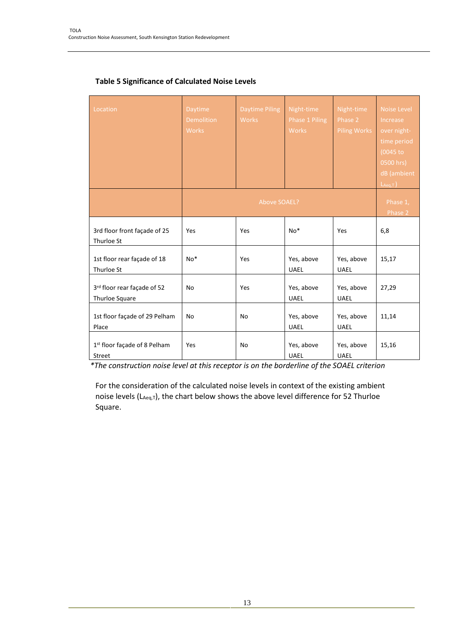| Location                                      | <b>Daytime</b><br><b>Demolition</b><br><b>Works</b> | <b>Daytime Piling</b><br><b>Works</b><br>Above SOAEL? | Night-time<br>Phase 1 Piling<br><b>Works</b> | Night-time<br>Phase 2<br><b>Piling Works</b> | <b>Noise Level</b><br><b>Increase</b><br>over night-<br>time period<br>$(0045$ to<br>0500 hrs)<br>dB (ambient<br>$L_{Aeq,T}$ )<br>Phase 1, |
|-----------------------------------------------|-----------------------------------------------------|-------------------------------------------------------|----------------------------------------------|----------------------------------------------|--------------------------------------------------------------------------------------------------------------------------------------------|
|                                               |                                                     |                                                       |                                              |                                              | Phase 2                                                                                                                                    |
| 3rd floor front façade of 25<br>Thurloe St    | Yes                                                 | Yes                                                   | No*                                          | Yes                                          | 6,8                                                                                                                                        |
| 1st floor rear façade of 18<br>Thurloe St     | $No*$                                               | Yes                                                   | Yes, above<br><b>UAEL</b>                    | Yes, above<br><b>UAEL</b>                    | 15,17                                                                                                                                      |
| 3rd floor rear façade of 52<br>Thurloe Square | No                                                  | Yes                                                   | Yes, above<br><b>UAEL</b>                    | Yes, above<br><b>UAEL</b>                    | 27,29                                                                                                                                      |
| 1st floor façade of 29 Pelham<br>Place        | <b>No</b>                                           | No                                                    | Yes, above<br><b>UAEL</b>                    | Yes, above<br><b>UAEL</b>                    | 11,14                                                                                                                                      |
| 1st floor façade of 8 Pelham<br>Street        | Yes                                                 | No                                                    | Yes, above<br><b>UAEL</b>                    | Yes, above<br><b>UAEL</b>                    | 15,16                                                                                                                                      |

## **Table 5 Significance of Calculated Noise Levels**

*\*The construction noise level at this receptor is on the borderline of the SOAEL criterion*

For the consideration of the calculated noise levels in context of the existing ambient noise levels (LAeq,T), the chart below shows the above level difference for 52 Thurloe Square.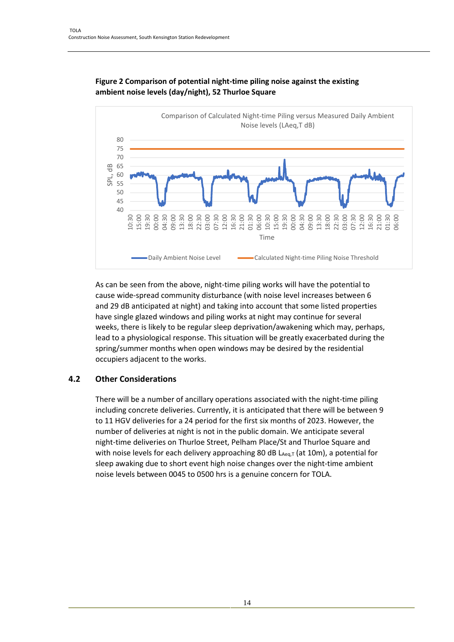

## **Figure 2 Comparison of potential night-time piling noise against the existing ambient noise levels (day/night), 52 Thurloe Square**

As can be seen from the above, night-time piling works will have the potential to cause wide-spread community disturbance (with noise level increases between 6 and 29 dB anticipated at night) and taking into account that some listed properties have single glazed windows and piling works at night may continue for several weeks, there is likely to be regular sleep deprivation/awakening which may, perhaps, lead to a physiological response. This situation will be greatly exacerbated during the spring/summer months when open windows may be desired by the residential occupiers adjacent to the works.

## **4.2 Other Considerations**

There will be a number of ancillary operations associated with the night-time piling including concrete deliveries. Currently, it is anticipated that there will be between 9 to 11 HGV deliveries for a 24 period for the first six months of 2023. However, the number of deliveries at night is not in the public domain. We anticipate several night-time deliveries on Thurloe Street, Pelham Place/St and Thurloe Square and with noise levels for each delivery approaching 80 dB  $L_{Aeq,T}$  (at 10m), a potential for sleep awaking due to short event high noise changes over the night-time ambient noise levels between 0045 to 0500 hrs is a genuine concern for TOLA.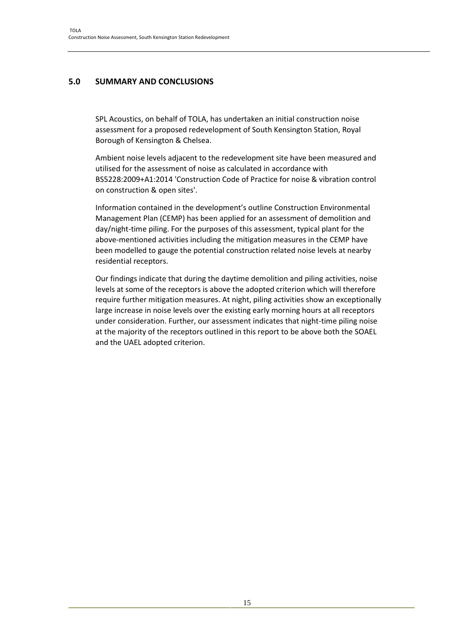## **5.0 SUMMARY AND CONCLUSIONS**

SPL Acoustics, on behalf of TOLA, has undertaken an initial construction noise assessment for a proposed redevelopment of South Kensington Station, Royal Borough of Kensington & Chelsea.

Ambient noise levels adjacent to the redevelopment site have been measured and utilised for the assessment of noise as calculated in accordance with BS5228:2009+A1:2014 'Construction Code of Practice for noise & vibration control on construction & open sites'.

Information contained in the development's outline Construction Environmental Management Plan (CEMP) has been applied for an assessment of demolition and day/night-time piling. For the purposes of this assessment, typical plant for the above-mentioned activities including the mitigation measures in the CEMP have been modelled to gauge the potential construction related noise levels at nearby residential receptors.

Our findings indicate that during the daytime demolition and piling activities, noise levels at some of the receptors is above the adopted criterion which will therefore require further mitigation measures. At night, piling activities show an exceptionally large increase in noise levels over the existing early morning hours at all receptors under consideration. Further, our assessment indicates that night-time piling noise at the majority of the receptors outlined in this report to be above both the SOAEL and the UAEL adopted criterion.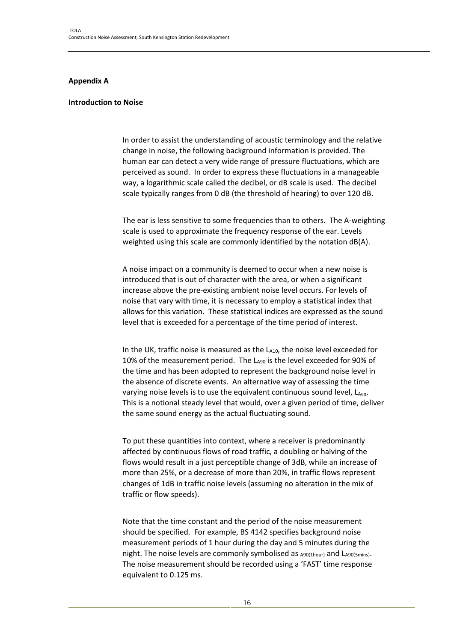#### **Appendix A**

#### **Introduction to Noise**

In order to assist the understanding of acoustic terminology and the relative change in noise, the following background information is provided. The human ear can detect a very wide range of pressure fluctuations, which are perceived as sound. In order to express these fluctuations in a manageable way, a logarithmic scale called the decibel, or dB scale is used. The decibel scale typically ranges from 0 dB (the threshold of hearing) to over 120 dB.

The ear is less sensitive to some frequencies than to others. The A-weighting scale is used to approximate the frequency response of the ear. Levels weighted using this scale are commonly identified by the notation dB(A).

A noise impact on a community is deemed to occur when a new noise is introduced that is out of character with the area, or when a significant increase above the pre-existing ambient noise level occurs. For levels of noise that vary with time, it is necessary to employ a statistical index that allows for this variation. These statistical indices are expressed as the sound level that is exceeded for a percentage of the time period of interest.

In the UK, traffic noise is measured as the LA10, the noise level exceeded for 10% of the measurement period. The LA90 is the level exceeded for 90% of the time and has been adopted to represent the background noise level in the absence of discrete events. An alternative way of assessing the time varying noise levels is to use the equivalent continuous sound level, LAeq. This is a notional steady level that would, over a given period of time, deliver the same sound energy as the actual fluctuating sound.

To put these quantities into context, where a receiver is predominantly affected by continuous flows of road traffic, a doubling or halving of the flows would result in a just perceptible change of 3dB, while an increase of more than 25%, or a decrease of more than 20%, in traffic flows represent changes of 1dB in traffic noise levels (assuming no alteration in the mix of traffic or flow speeds).

Note that the time constant and the period of the noise measurement should be specified. For example, BS 4142 specifies background noise measurement periods of 1 hour during the day and 5 minutes during the night. The noise levels are commonly symbolised as A90(1hour) and LA90(5mins). The noise measurement should be recorded using a 'FAST' time response equivalent to 0.125 ms.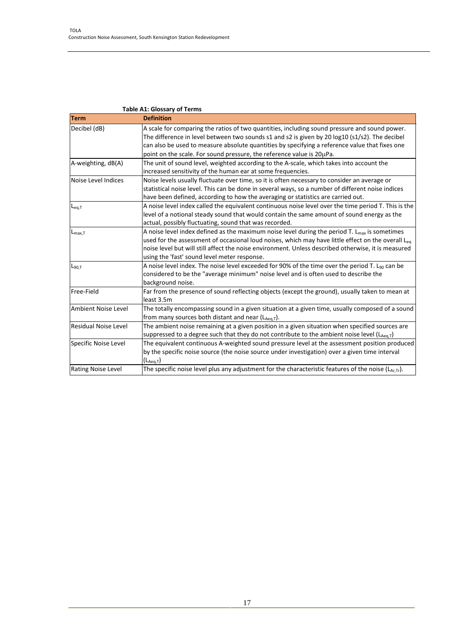|                             | <b>Table A1: Glossary of Terms</b>                                                                                                                                                                                                                                                                                                                                          |
|-----------------------------|-----------------------------------------------------------------------------------------------------------------------------------------------------------------------------------------------------------------------------------------------------------------------------------------------------------------------------------------------------------------------------|
| <b>Term</b>                 | <b>Definition</b>                                                                                                                                                                                                                                                                                                                                                           |
| Decibel (dB)                | A scale for comparing the ratios of two quantities, including sound pressure and sound power.<br>The difference in level between two sounds s1 and s2 is given by 20 log10 (s1/s2). The decibel<br>can also be used to measure absolute quantities by specifying a reference value that fixes one                                                                           |
|                             | point on the scale. For sound pressure, the reference value is 20µPa.                                                                                                                                                                                                                                                                                                       |
| A-weighting, dB(A)          | The unit of sound level, weighted according to the A-scale, which takes into account the<br>increased sensitivity of the human ear at some frequencies.                                                                                                                                                                                                                     |
| Noise Level Indices         | Noise levels usually fluctuate over time, so it is often necessary to consider an average or<br>statistical noise level. This can be done in several ways, so a number of different noise indices<br>have been defined, according to how the averaging or statistics are carried out.                                                                                       |
| $L_{eq,T}$                  | A noise level index called the equivalent continuous noise level over the time period T. This is the<br>level of a notional steady sound that would contain the same amount of sound energy as the<br>actual, possibly fluctuating, sound that was recorded.                                                                                                                |
| $L_{\text{max,T}}$          | A noise level index defined as the maximum noise level during the period T. L <sub>max</sub> is sometimes<br>used for the assessment of occasional loud noises, which may have little effect on the overall $L_{eq}$<br>noise level but will still affect the noise environment. Unless described otherwise, it is measured<br>using the 'fast' sound level meter response. |
| $L_{90,T}$                  | A noise level index. The noise level exceeded for 90% of the time over the period T. L <sub>90</sub> can be<br>considered to be the "average minimum" noise level and is often used to describe the<br>background noise.                                                                                                                                                    |
| Free-Field                  | Far from the presence of sound reflecting objects (except the ground), usually taken to mean at<br>least 3.5m                                                                                                                                                                                                                                                               |
| Ambient Noise Level         | The totally encompassing sound in a given situation at a given time, usually composed of a sound<br>from many sources both distant and near $(L_{Aeq,T})$ .                                                                                                                                                                                                                 |
| <b>Residual Noise Level</b> | The ambient noise remaining at a given position in a given situation when specified sources are<br>Suppressed to a degree such that they do not contribute to the ambient noise level (LAeq,T)                                                                                                                                                                              |
| Specific Noise Level        | The equivalent continuous A-weighted sound pressure level at the assessment position produced<br>by the specific noise source (the noise source under investigation) over a given time interval<br>$(L_{Aeq,T})$                                                                                                                                                            |
| <b>Rating Noise Level</b>   | The specific noise level plus any adjustment for the characteristic features of the noise $(L_{A \cup T}L)$ .                                                                                                                                                                                                                                                               |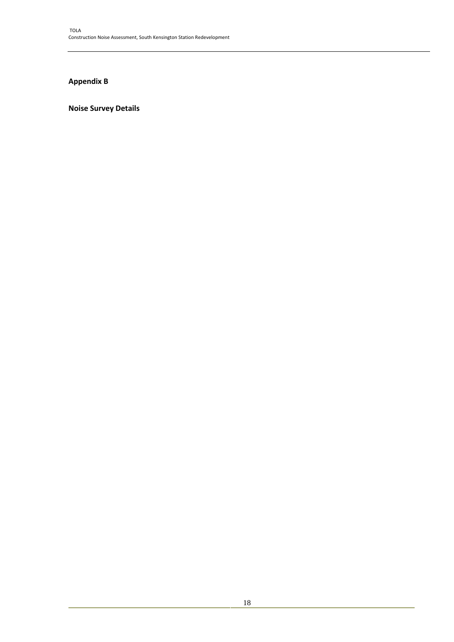# **Appendix B**

## **Noise Survey Details**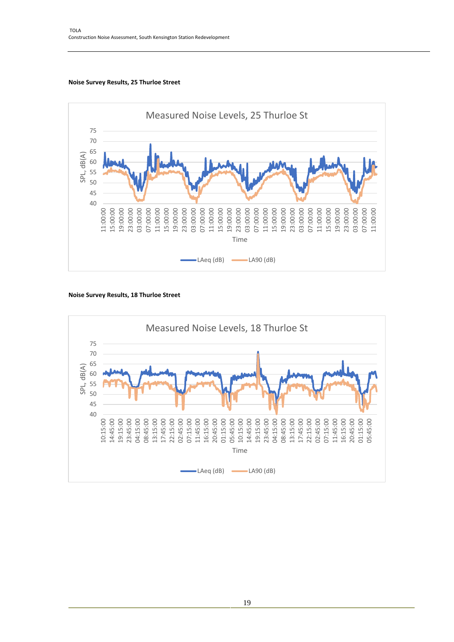#### **Noise Survey Results, 25 Thurloe Street**



#### **Noise Survey Results, 18 Thurloe Street**

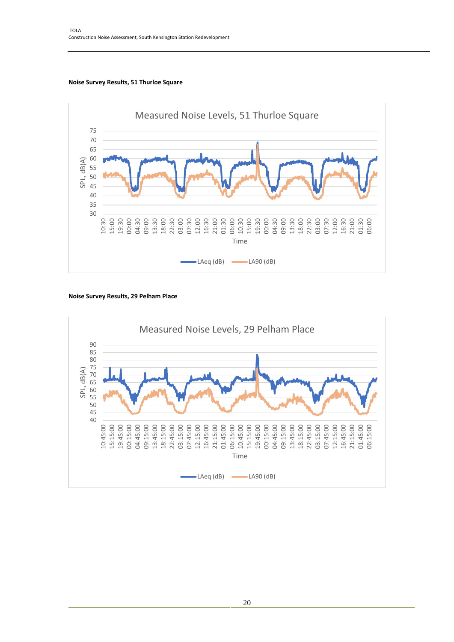



#### **Noise Survey Results, 29 Pelham Place**